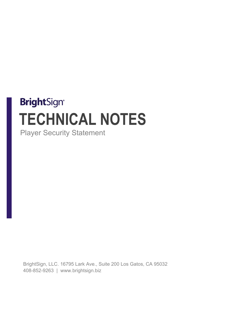# **BrightSign® TECHNICAL NOTES** Player Security Statement

BrightSign, LLC. 16795 Lark Ave., Suite 200 Los Gatos, CA 95032 408-852-9263 | www.brightsign.biz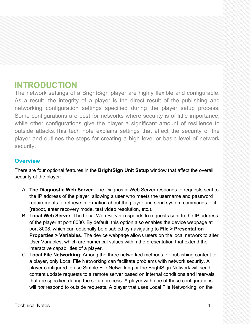## **INTRODUCTION**

The network settings of a BrightSign player are highly flexible and configurable. As a result, the integrity of a player is the direct result of the publishing and networking configuration settings specified during the player setup process. Some configurations are best for networks where security is of little importance, while other configurations give the player a significant amount of resilience to outside attacks.This tech note explains settings that affect the security of the player and outlines the steps for creating a high level or basic level of network security.

#### **Overview**

There are four optional features in the **BrightSign Unit Setup** window that affect the overall security of the player:

- A. **The Diagnostic Web Server**: The Diagnostic Web Server responds to requests sent to the IP address of the player, allowing a user who meets the username and password requirements to retrieve information about the player and send system commands to it (reboot, enter recovery mode, test video resolution, etc.).
- B. **Local Web Server**: The Local Web Server responds to requests sent to the IP address of the player at port 8080. By default, this option also enables the device webpage at port 8008, which can optionally be disabled by navigating to **File > Presentation Properties > Variables**. The device webpage allows users on the local network to alter User Variables, which are numerical values within the presentation that extend the interactive capabilities of a player.
- C. **Local File Networking**: Among the three networked methods for publishing content to a player, only Local File Networking can facilitate problems with network security. A player configured to use Simple File Networking or the BrightSign Network will send content update requests to a remote server based on internal conditions and intervals that are specified during the setup process: A player with one of these configurations will *not* respond to outside requests. A player that uses Local File Networking, on the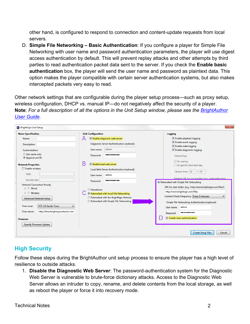other hand, is configured to respond to connection and content-update requests from local servers.

D. **Simple File Networking – Basic Authentication**: If you configure a player for Simple File Networking with user name and password authentication parameters, the player will use digest access authentication by default. This will prevent replay attacks and other attempts by third parties to read authentication packet data sent to the server. If you check the **Enable basic authentication** box, the player will send the user name and password as plaintext data. This option makes the player compatible with certain server authentication systems, but also makes intercepted packets very easy to read.

Other network settings that are configurable during the player setup process—such as proxy setup, wireless configuration, DHCP vs. manual IP—do not negatively affect the security of a player. **Note**: *For a full description of all the options in the Unit Setup window, please see the [BrightAuthor](http://support.brightsign.biz/entries/314526-brightsign-user-guides-troubleshooting)  [User Guide.](http://support.brightsign.biz/entries/314526-brightsign-user-guides-troubleshooting)*

|                                                                                                                                                                                                                                                   | <b>Unit Configuration</b>                                                                                                                                                                                                                               | <b>Logging</b>                                                                                                                                                                                                                                                                                                                 |
|---------------------------------------------------------------------------------------------------------------------------------------------------------------------------------------------------------------------------------------------------|---------------------------------------------------------------------------------------------------------------------------------------------------------------------------------------------------------------------------------------------------------|--------------------------------------------------------------------------------------------------------------------------------------------------------------------------------------------------------------------------------------------------------------------------------------------------------------------------------|
| <b>Name Specification</b><br>Name:<br><b>Description:</b><br><b>Customization:</b><br>Use name only<br>Append unit ID<br><b>Network Properties</b><br><b>Enable wireless</b><br>SSID:<br>Security key:                                            | I Enable diagnostic web server<br>Diagnostic Server Authentication (optional)<br>admin<br>User name:<br>----------<br>Password:<br>Б<br>T Enable local web server<br>Local Web Server Authentication (optional)<br>admin<br>User name:<br><br>Password: | Enable playback logging<br>↓ Enable event logging<br>$\vee$ Enable state logging<br>Enable diagnostic logging<br><b>Upload logs</b><br><b>√</b> On startup<br>At specific time each day<br>Upload time: $ 19 -  $ : 20 $\sim$<br>Relative URL for log handler (e.g. logbandler php)                                            |
| <b>Network Connection Priority</b><br>← Wired<br>÷ +<br>Wireless<br><b>Advanced Network Setup</b><br><b>PST: US Pacific Time</b><br>Time zone:<br>http://time.brightsignnetwork.com<br>Time server:<br><b>Firmware</b><br>Specify Firmware Update | Standalone<br><sup>O</sup> Networked with Local File Networking<br>Retworked with the BrightSign Network<br>Retworked with Simple File Networking                                                                                                       | <sup>O</sup> Networked with Simple File Networking<br>URL for web folder: (e.g., http://www.brightsign.com/files/)<br>http://www.brightsign.com/files<br>Content Check Frequency: Every 5 minutes<br>Simple File Networking Authentication (optional)<br>admin<br>User name:<br><br>Password:<br>T Enable basic authentication |

### **High Security**

Follow these steps during the BrightAuthor unit setup process to ensure the player has a high level of resilience to outside attacks.

1. **Disable the Diagnostic Web Server**: The password-authentication system for the Diagnostic Web Server is vulnerable to brute-force dictionary attacks. Access to the Diagnostic Web Server allows an intruder to copy, rename, and delete contents from the local storage, as well as reboot the player or force it into recovery mode.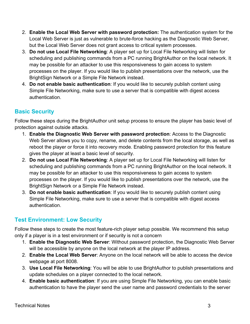- 2. **Enable the Local Web Server with password protection:** The authentication system for the Local Web Server is just as vulnerable to brute-force hacking as the Diagnostic Web Server, but the Local Web Server does not grant access to critical system processes.
- 3. **Do not use Local File Networking**: A player set up for Local File Networking will listen for scheduling and publishing commands from a PC running BrightAuthor on the local network. It may be possible for an attacker to use this responsiveness to gain access to system processes on the player. If you would like to publish presentations over the network, use the BrightSign Network or a Simple File Network instead.
- 4. **Do not enable basic authentication**: If you would like to securely publish content using Simple File Networking, make sure to use a server that is compatible with digest access authentication.

### **Basic Security**

Follow these steps during the BrightAuthor unit setup process to ensure the player has basic level of protection against outside attacks.

- 1. **Enable the Diagnostic Web Server with password protection**: Access to the Diagnostic Web Server allows you to copy, rename, and delete contents from the local storage, as well as reboot the player or force it into recovery mode. Enabling password protection for this feature gives the player at least a basic level of security.
- 2. **Do not use Local File Networking**: A player set up for Local File Networking will listen for scheduling and publishing commands from a PC running BrightAuthor on the local network. It may be possible for an attacker to use this responsiveness to gain access to system processes on the player. If you would like to publish presentations over the network, use the BrightSign Network or a Simple File Network instead.
- 3. **Do not enable basic authentication**: If you would like to securely publish content using Simple File Networking, make sure to use a server that is compatible with digest access authentication.

### **Test Environment: Low Security**

Follow these steps to create the most feature-rich player setup possible. We recommend this setup only if a player is in a test environment or if security is not a concern

- 1. **Enable the Diagnostic Web Server**: Without password protection, the Diagnostic Web Server will be accessible by anyone on the local network at the player IP address.
- 2. **Enable the Local Web Server**: Anyone on the local network will be able to access the device webpage at port 8008.
- 3. **Use Local File Networking**: You will be able to use BrightAuthor to publish presentations and update schedules on a player connected to the local network.
- 4. **Enable basic authentication**: If you are using Simple File Networking, you can enable basic authentication to have the player send the user name and password credentials to the server